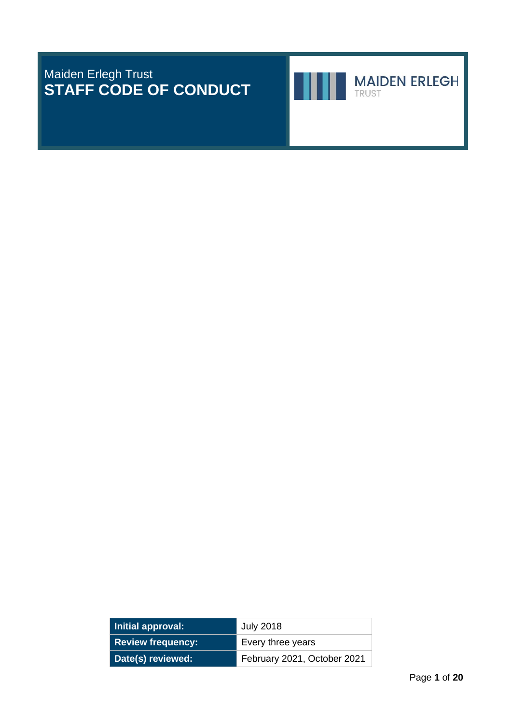# Maiden Erlegh Trust **STAFF CODE OF CONDUCT**





Page **1** of **20**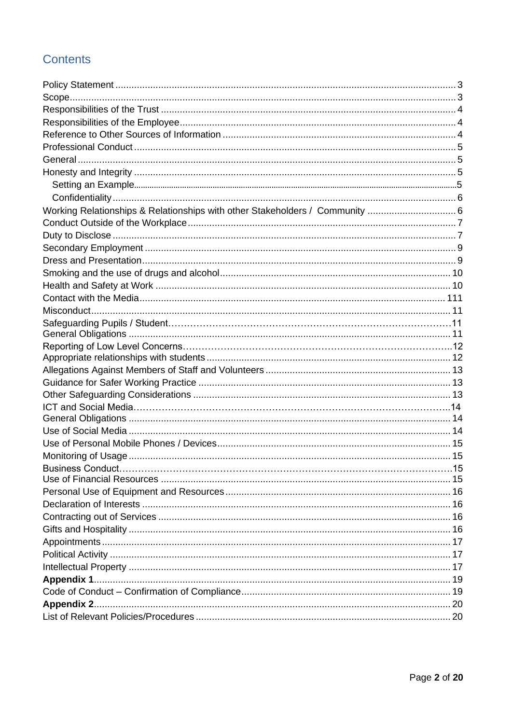# **Contents**

| Working Relationships & Relationships with other Stakeholders / Community  6 |  |
|------------------------------------------------------------------------------|--|
|                                                                              |  |
|                                                                              |  |
|                                                                              |  |
|                                                                              |  |
|                                                                              |  |
|                                                                              |  |
|                                                                              |  |
|                                                                              |  |
|                                                                              |  |
|                                                                              |  |
|                                                                              |  |
|                                                                              |  |
|                                                                              |  |
|                                                                              |  |
|                                                                              |  |
|                                                                              |  |
|                                                                              |  |
|                                                                              |  |
|                                                                              |  |
|                                                                              |  |
|                                                                              |  |
|                                                                              |  |
|                                                                              |  |
|                                                                              |  |
|                                                                              |  |
|                                                                              |  |
|                                                                              |  |
|                                                                              |  |
|                                                                              |  |
|                                                                              |  |
|                                                                              |  |
|                                                                              |  |
|                                                                              |  |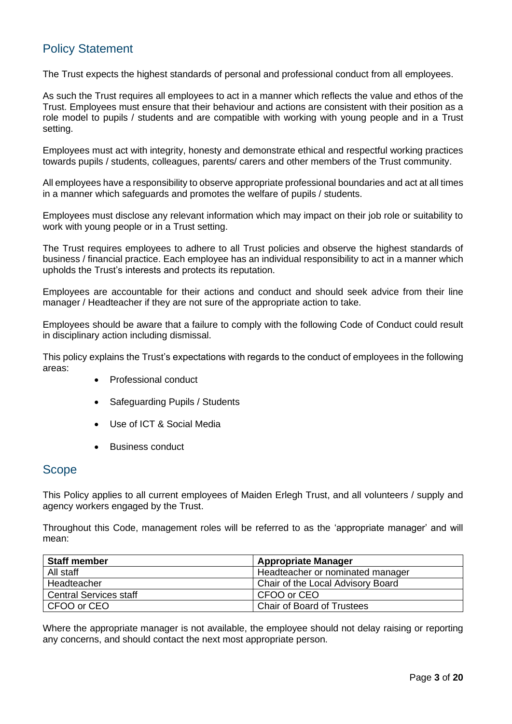# <span id="page-2-0"></span>Policy Statement

The Trust expects the highest standards of personal and professional conduct from all employees.

As such the Trust requires all employees to act in a manner which reflects the value and ethos of the Trust. Employees must ensure that their behaviour and actions are consistent with their position as a role model to pupils / students and are compatible with working with young people and in a Trust setting.

Employees must act with integrity, honesty and demonstrate ethical and respectful working practices towards pupils / students, colleagues, parents/ carers and other members of the Trust community.

All employees have a responsibility to observe appropriate professional boundaries and act at all times in a manner which safeguards and promotes the welfare of pupils / students.

Employees must disclose any relevant information which may impact on their job role or suitability to work with young people or in a Trust setting.

The Trust requires employees to adhere to all Trust policies and observe the highest standards of business / financial practice. Each employee has an individual responsibility to act in a manner which upholds the Trust's interests and protects its reputation.

Employees are accountable for their actions and conduct and should seek advice from their line manager / Headteacher if they are not sure of the appropriate action to take.

Employees should be aware that a failure to comply with the following Code of Conduct could result in disciplinary action including dismissal.

This policy explains the Trust's expectations with regards to the conduct of employees in the following areas:

- Professional conduct
- Safeguarding Pupils / Students
- Use of ICT & Social Media
- Business conduct

# <span id="page-2-1"></span>**Scope**

This Policy applies to all current employees of Maiden Erlegh Trust, and all volunteers / supply and agency workers engaged by the Trust.

Throughout this Code, management roles will be referred to as the 'appropriate manager' and will mean:

| <b>Staff member</b>           | <b>Appropriate Manager</b>        |
|-------------------------------|-----------------------------------|
| All staff                     | Headteacher or nominated manager  |
| Headteacher                   | Chair of the Local Advisory Board |
| <b>Central Services staff</b> | CFOO or CEO                       |
| CFOO or CEO                   | <b>Chair of Board of Trustees</b> |

Where the appropriate manager is not available, the employee should not delay raising or reporting any concerns, and should contact the next most appropriate person.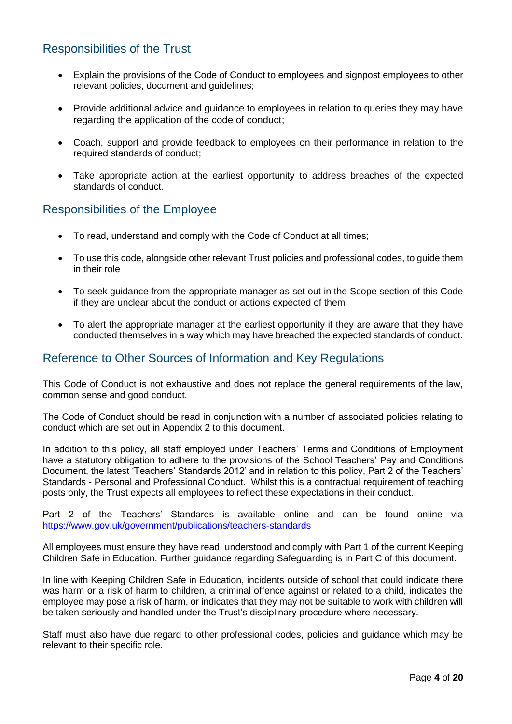# <span id="page-3-0"></span>Responsibilities of the Trust

- Explain the provisions of the Code of Conduct to employees and signpost employees to other relevant policies, document and guidelines;
- Provide additional advice and quidance to employees in relation to queries they may have regarding the application of the code of conduct;
- Coach, support and provide feedback to employees on their performance in relation to the required standards of conduct;
- Take appropriate action at the earliest opportunity to address breaches of the expected standards of conduct.

### <span id="page-3-1"></span>Responsibilities of the Employee

- To read, understand and comply with the Code of Conduct at all times;
- To use this code, alongside other relevant Trust policies and professional codes, to guide them in their role
- To seek guidance from the appropriate manager as set out in the Scope section of this Code if they are unclear about the conduct or actions expected of them
- To alert the appropriate manager at the earliest opportunity if they are aware that they have conducted themselves in a way which may have breached the expected standards of conduct.

# <span id="page-3-2"></span>Reference to Other Sources of Information and Key Regulations

This Code of Conduct is not exhaustive and does not replace the general requirements of the law, common sense and good conduct.

The Code of Conduct should be read in conjunction with a number of associated policies relating to conduct which are set out in Appendix 2 to this document.

In addition to this policy, all staff employed under Teachers' Terms and Conditions of Employment have a statutory obligation to adhere to the provisions of the School Teachers' Pay and Conditions Document, the latest 'Teachers' Standards 2012' and in relation to this policy, Part 2 of the Teachers' Standards - Personal and Professional Conduct. Whilst this is a contractual requirement of teaching posts only, the Trust expects all employees to reflect these expectations in their conduct.

Part 2 of the Teachers' Standards is available online and can be found online via <https://www.gov.uk/government/publications/teachers-standards>

All employees must ensure they have read, understood and comply with Part 1 of the current Keeping Children Safe in Education. Further guidance regarding Safeguarding is in Part C of this document.

In line with Keeping Children Safe in Education, incidents outside of school that could indicate there was harm or a risk of harm to children, a criminal offence against or related to a child, indicates the employee may pose a risk of harm, or indicates that they may not be suitable to work with children will be taken seriously and handled under the Trust's disciplinary procedure where necessary.

<span id="page-3-3"></span>Staff must also have due regard to other professional codes, policies and guidance which may be relevant to their specific role.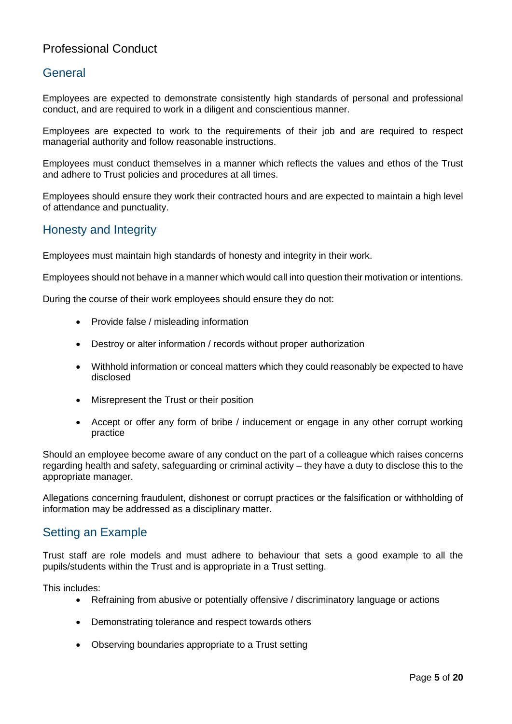# Professional Conduct

# <span id="page-4-0"></span>General

Employees are expected to demonstrate consistently high standards of personal and professional conduct, and are required to work in a diligent and conscientious manner.

Employees are expected to work to the requirements of their job and are required to respect managerial authority and follow reasonable instructions.

Employees must conduct themselves in a manner which reflects the values and ethos of the Trust and adhere to Trust policies and procedures at all times.

Employees should ensure they work their contracted hours and are expected to maintain a high level of attendance and punctuality.

# <span id="page-4-1"></span>Honesty and Integrity

Employees must maintain high standards of honesty and integrity in their work.

Employees should not behave in a manner which would call into question their motivation or intentions.

During the course of their work employees should ensure they do not:

- Provide false / misleading information
- Destroy or alter information / records without proper authorization
- Withhold information or conceal matters which they could reasonably be expected to have disclosed
- Misrepresent the Trust or their position
- Accept or offer any form of bribe / inducement or engage in any other corrupt working practice

Should an employee become aware of any conduct on the part of a colleague which raises concerns regarding health and safety, safeguarding or criminal activity – they have a duty to disclose this to the appropriate manager.

Allegations concerning fraudulent, dishonest or corrupt practices or the falsification or withholding of information may be addressed as a disciplinary matter.

# Setting an Example

Trust staff are role models and must adhere to behaviour that sets a good example to all the pupils/students within the Trust and is appropriate in a Trust setting.

This includes:

- Refraining from abusive or potentially offensive / discriminatory language or actions
- Demonstrating tolerance and respect towards others
- Observing boundaries appropriate to a Trust setting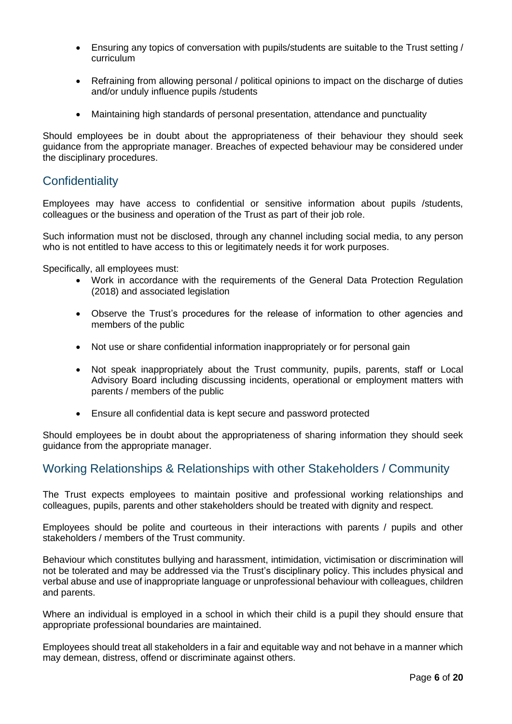- Ensuring any topics of conversation with pupils/students are suitable to the Trust setting / curriculum
- Refraining from allowing personal / political opinions to impact on the discharge of duties and/or unduly influence pupils /students
- Maintaining high standards of personal presentation, attendance and punctuality

Should employees be in doubt about the appropriateness of their behaviour they should seek guidance from the appropriate manager. Breaches of expected behaviour may be considered under the disciplinary procedures.

# <span id="page-5-0"></span>**Confidentiality**

Employees may have access to confidential or sensitive information about pupils /students, colleagues or the business and operation of the Trust as part of their job role.

Such information must not be disclosed, through any channel including social media, to any person who is not entitled to have access to this or legitimately needs it for work purposes.

Specifically, all employees must:

- Work in accordance with the requirements of the General Data Protection Regulation (2018) and associated legislation
- Observe the Trust's procedures for the release of information to other agencies and members of the public
- Not use or share confidential information inappropriately or for personal gain
- Not speak inappropriately about the Trust community, pupils, parents, staff or Local Advisory Board including discussing incidents, operational or employment matters with parents / members of the public
- Ensure all confidential data is kept secure and password protected

Should employees be in doubt about the appropriateness of sharing information they should seek guidance from the appropriate manager.

# <span id="page-5-1"></span>Working Relationships & Relationships with other Stakeholders / Community

The Trust expects employees to maintain positive and professional working relationships and colleagues, pupils, parents and other stakeholders should be treated with dignity and respect.

Employees should be polite and courteous in their interactions with parents / pupils and other stakeholders / members of the Trust community.

Behaviour which constitutes bullying and harassment, intimidation, victimisation or discrimination will not be tolerated and may be addressed via the Trust's disciplinary policy. This includes physical and verbal abuse and use of inappropriate language or unprofessional behaviour with colleagues, children and parents.

Where an individual is employed in a school in which their child is a pupil they should ensure that appropriate professional boundaries are maintained.

Employees should treat all stakeholders in a fair and equitable way and not behave in a manner which may demean, distress, offend or discriminate against others.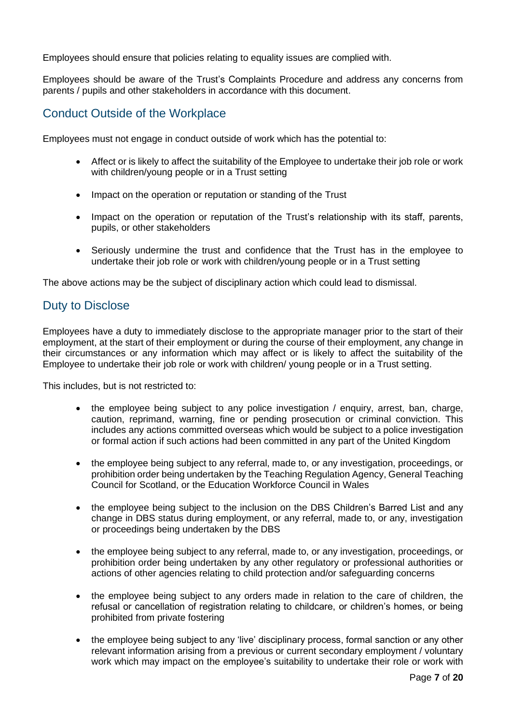Employees should ensure that policies relating to equality issues are complied with.

Employees should be aware of the Trust's Complaints Procedure and address any concerns from parents / pupils and other stakeholders in accordance with this document.

# <span id="page-6-0"></span>Conduct Outside of the Workplace

Employees must not engage in conduct outside of work which has the potential to:

- Affect or is likely to affect the suitability of the Employee to undertake their job role or work with children/young people or in a Trust setting
- Impact on the operation or reputation or standing of the Trust
- Impact on the operation or reputation of the Trust's relationship with its staff, parents, pupils, or other stakeholders
- Seriously undermine the trust and confidence that the Trust has in the employee to undertake their job role or work with children/young people or in a Trust setting

<span id="page-6-1"></span>The above actions may be the subject of disciplinary action which could lead to dismissal.

# Duty to Disclose

Employees have a duty to immediately disclose to the appropriate manager prior to the start of their employment, at the start of their employment or during the course of their employment, any change in their circumstances or any information which may affect or is likely to affect the suitability of the Employee to undertake their job role or work with children/ young people or in a Trust setting.

This includes, but is not restricted to:

- the employee being subject to any police investigation / enquiry, arrest, ban, charge, caution, reprimand, warning, fine or pending prosecution or criminal conviction. This includes any actions committed overseas which would be subject to a police investigation or formal action if such actions had been committed in any part of the United Kingdom
- the employee being subject to any referral, made to, or any investigation, proceedings, or prohibition order being undertaken by the Teaching Regulation Agency, General Teaching Council for Scotland, or the Education Workforce Council in Wales
- the employee being subject to the inclusion on the DBS Children's Barred List and any change in DBS status during employment, or any referral, made to, or any, investigation or proceedings being undertaken by the DBS
- the employee being subject to any referral, made to, or any investigation, proceedings, or prohibition order being undertaken by any other regulatory or professional authorities or actions of other agencies relating to child protection and/or safeguarding concerns
- the employee being subject to any orders made in relation to the care of children, the refusal or cancellation of registration relating to childcare, or children's homes, or being prohibited from private fostering
- the employee being subject to any 'live' disciplinary process, formal sanction or any other relevant information arising from a previous or current secondary employment / voluntary work which may impact on the employee's suitability to undertake their role or work with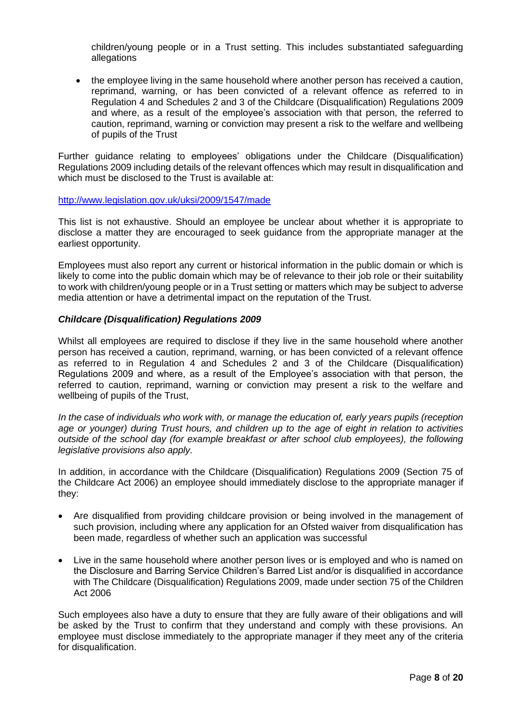children/young people or in a Trust setting. This includes substantiated safeguarding allegations

• the employee living in the same household where another person has received a caution, reprimand, warning, or has been convicted of a relevant offence as referred to in Regulation 4 and Schedules 2 and 3 of the Childcare (Disqualification) Regulations 2009 and where, as a result of the employee's association with that person, the referred to caution, reprimand, warning or conviction may present a risk to the welfare and wellbeing of pupils of the Trust

Further guidance relating to employees' obligations under the Childcare (Disqualification) Regulations 2009 including details of the relevant offences which may result in disqualification and which must be disclosed to the Trust is available at:

<http://www.legislation.gov.uk/uksi/2009/1547/made>

This list is not exhaustive. Should an employee be unclear about whether it is appropriate to disclose a matter they are encouraged to seek guidance from the appropriate manager at the earliest opportunity.

Employees must also report any current or historical information in the public domain or which is likely to come into the public domain which may be of relevance to their job role or their suitability to work with children/young people or in a Trust setting or matters which may be subject to adverse media attention or have a detrimental impact on the reputation of the Trust.

#### *Childcare (Disqualification) Regulations 2009*

Whilst all employees are required to disclose if they live in the same household where another person has received a caution, reprimand, warning, or has been convicted of a relevant offence as referred to in Regulation 4 and Schedules 2 and 3 of the Childcare (Disqualification) Regulations 2009 and where, as a result of the Employee's association with that person, the referred to caution, reprimand, warning or conviction may present a risk to the welfare and wellbeing of pupils of the Trust,

*In the case of individuals who work with, or manage the education of, early years pupils (reception age or younger) during Trust hours, and children up to the age of eight in relation to activities outside of the school day (for example breakfast or after school club employees), the following legislative provisions also apply.*

In addition, in accordance with the Childcare (Disqualification) Regulations 2009 (Section 75 of the Childcare Act 2006) an employee should immediately disclose to the appropriate manager if they:

- Are disqualified from providing childcare provision or being involved in the management of such provision, including where any application for an Ofsted waiver from disqualification has been made, regardless of whether such an application was successful
- Live in the same household where another person lives or is employed and who is named on the Disclosure and Barring Service Children's Barred List and/or is disqualified in accordance with The Childcare (Disqualification) Regulations 2009, made under section 75 of the Children Act 2006

Such employees also have a duty to ensure that they are fully aware of their obligations and will be asked by the Trust to confirm that they understand and comply with these provisions. An employee must disclose immediately to the appropriate manager if they meet any of the criteria for disqualification.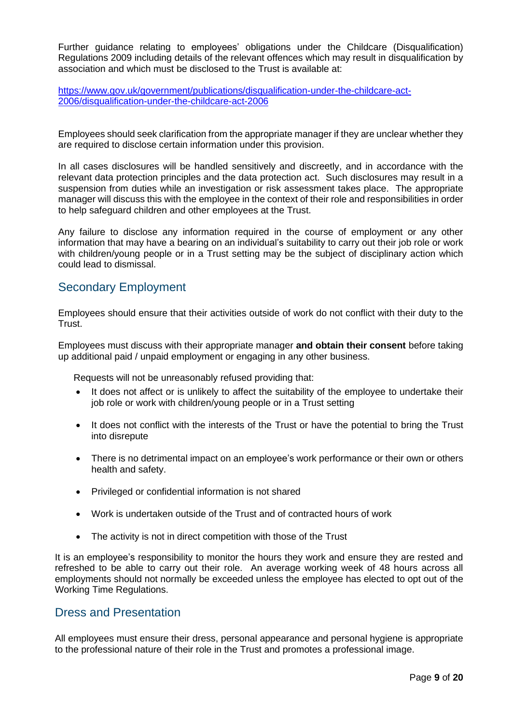Further guidance relating to employees' obligations under the Childcare (Disqualification) Regulations 2009 including details of the relevant offences which may result in disqualification by association and which must be disclosed to the Trust is available at:

[https://www.gov.uk/government/publications/disqualification-under-the-childcare-act-](https://www.gov.uk/government/publications/disqualification-under-the-childcare-act-2006/disqualification-under-the-childcare-act-2006)[2006/disqualification-under-the-childcare-act-2006](https://www.gov.uk/government/publications/disqualification-under-the-childcare-act-2006/disqualification-under-the-childcare-act-2006)

Employees should seek clarification from the appropriate manager if they are unclear whether they are required to disclose certain information under this provision.

In all cases disclosures will be handled sensitively and discreetly, and in accordance with the relevant data protection principles and the data protection act. Such disclosures may result in a suspension from duties while an investigation or risk assessment takes place. The appropriate manager will discuss this with the employee in the context of their role and responsibilities in order to help safeguard children and other employees at the Trust.

Any failure to disclose any information required in the course of employment or any other information that may have a bearing on an individual's suitability to carry out their job role or work with children/young people or in a Trust setting may be the subject of disciplinary action which could lead to dismissal.

# <span id="page-8-0"></span>Secondary Employment

Employees should ensure that their activities outside of work do not conflict with their duty to the Trust.

Employees must discuss with their appropriate manager **and obtain their consent** before taking up additional paid / unpaid employment or engaging in any other business.

Requests will not be unreasonably refused providing that:

- It does not affect or is unlikely to affect the suitability of the employee to undertake their job role or work with children/young people or in a Trust setting
- It does not conflict with the interests of the Trust or have the potential to bring the Trust into disrepute
- There is no detrimental impact on an employee's work performance or their own or others health and safety.
- Privileged or confidential information is not shared
- Work is undertaken outside of the Trust and of contracted hours of work
- The activity is not in direct competition with those of the Trust

It is an employee's responsibility to monitor the hours they work and ensure they are rested and refreshed to be able to carry out their role. An average working week of 48 hours across all employments should not normally be exceeded unless the employee has elected to opt out of the Working Time Regulations.

#### <span id="page-8-1"></span>Dress and Presentation

All employees must ensure their dress, personal appearance and personal hygiene is appropriate to the professional nature of their role in the Trust and promotes a professional image.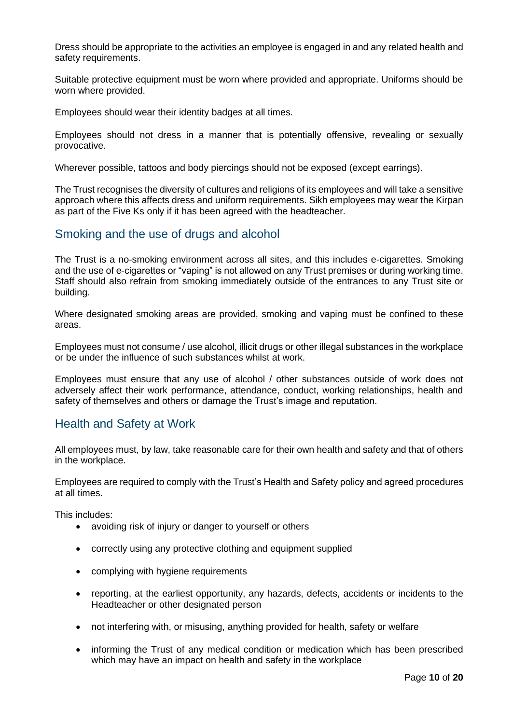Dress should be appropriate to the activities an employee is engaged in and any related health and safety requirements.

Suitable protective equipment must be worn where provided and appropriate. Uniforms should be worn where provided.

Employees should wear their identity badges at all times.

Employees should not dress in a manner that is potentially offensive, revealing or sexually provocative.

Wherever possible, tattoos and body piercings should not be exposed (except earrings).

The Trust recognises the diversity of cultures and religions of its employees and will take a sensitive approach where this affects dress and uniform requirements. Sikh employees may wear the Kirpan as part of the Five Ks only if it has been agreed with the headteacher.

# <span id="page-9-0"></span>Smoking and the use of drugs and alcohol

The Trust is a no-smoking environment across all sites, and this includes e-cigarettes. Smoking and the use of e-cigarettes or "vaping" is not allowed on any Trust premises or during working time. Staff should also refrain from smoking immediately outside of the entrances to any Trust site or building.

Where designated smoking areas are provided, smoking and vaping must be confined to these areas.

Employees must not consume / use alcohol, illicit drugs or other illegal substances in the workplace or be under the influence of such substances whilst at work.

Employees must ensure that any use of alcohol / other substances outside of work does not adversely affect their work performance, attendance, conduct, working relationships, health and safety of themselves and others or damage the Trust's image and reputation.

# <span id="page-9-1"></span>Health and Safety at Work

All employees must, by law, take reasonable care for their own health and safety and that of others in the workplace.

Employees are required to comply with the Trust's Health and Safety policy and agreed procedures at all times.

This includes:

- avoiding risk of injury or danger to yourself or others
- correctly using any protective clothing and equipment supplied
- complying with hygiene requirements
- reporting, at the earliest opportunity, any hazards, defects, accidents or incidents to the Headteacher or other designated person
- not interfering with, or misusing, anything provided for health, safety or welfare
- informing the Trust of any medical condition or medication which has been prescribed which may have an impact on health and safety in the workplace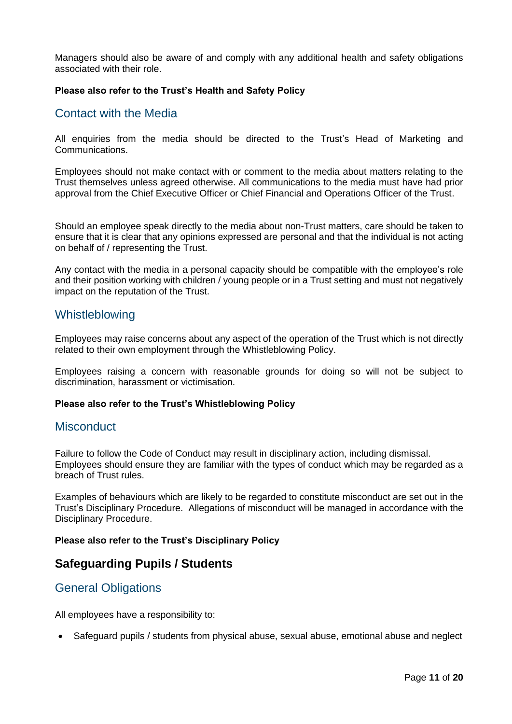Managers should also be aware of and comply with any additional health and safety obligations associated with their role.

#### <span id="page-10-0"></span>**Please also refer to the Trust's Health and Safety Policy**

### Contact with the Media

All enquiries from the media should be directed to the Trust's Head of Marketing and Communications.

Employees should not make contact with or comment to the media about matters relating to the Trust themselves unless agreed otherwise. All communications to the media must have had prior approval from the Chief Executive Officer or Chief Financial and Operations Officer of the Trust.

Should an employee speak directly to the media about non-Trust matters, care should be taken to ensure that it is clear that any opinions expressed are personal and that the individual is not acting on behalf of / representing the Trust.

Any contact with the media in a personal capacity should be compatible with the employee's role and their position working with children / young people or in a Trust setting and must not negatively impact on the reputation of the Trust.

### Whistleblowing

Employees may raise concerns about any aspect of the operation of the Trust which is not directly related to their own employment through the Whistleblowing Policy.

Employees raising a concern with reasonable grounds for doing so will not be subject to discrimination, harassment or victimisation.

#### <span id="page-10-1"></span>**Please also refer to the Trust's Whistleblowing Policy**

#### **Misconduct**

Failure to follow the Code of Conduct may result in disciplinary action, including dismissal. Employees should ensure they are familiar with the types of conduct which may be regarded as a breach of Trust rules.

Examples of behaviours which are likely to be regarded to constitute misconduct are set out in the Trust's Disciplinary Procedure. Allegations of misconduct will be managed in accordance with the Disciplinary Procedure.

#### **Please also refer to the Trust's Disciplinary Policy**

# **Safeguarding Pupils / Students**

# <span id="page-10-2"></span>General Obligations

All employees have a responsibility to:

• Safeguard pupils / students from physical abuse, sexual abuse, emotional abuse and neglect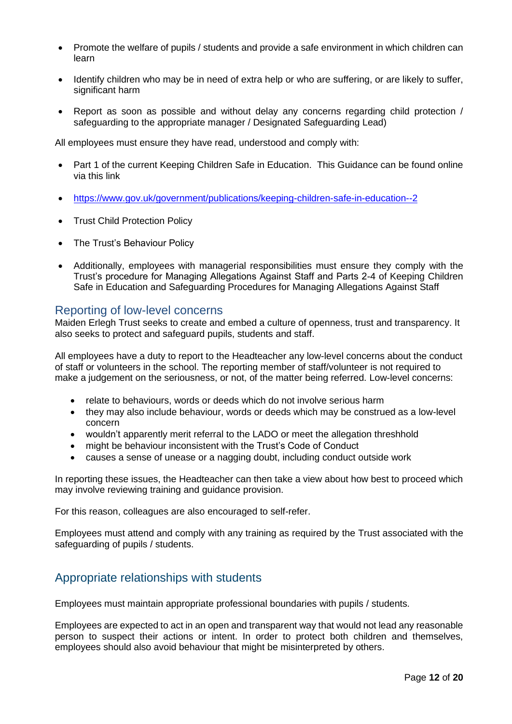- Promote the welfare of pupils / students and provide a safe environment in which children can learn
- Identify children who may be in need of extra help or who are suffering, or are likely to suffer, significant harm
- Report as soon as possible and without delay any concerns regarding child protection / safeguarding to the appropriate manager / Designated Safeguarding Lead)

All employees must ensure they have read, understood and comply with:

- Part 1 of the current Keeping Children Safe in Education. This Guidance can be found online via this link
- <https://www.gov.uk/government/publications/keeping-children-safe-in-education--2>
- **Trust Child Protection Policy**
- The Trust's Behaviour Policy
- Additionally, employees with managerial responsibilities must ensure they comply with the Trust's procedure for Managing Allegations Against Staff and Parts 2-4 of Keeping Children Safe in Education and Safeguarding Procedures for Managing Allegations Against Staff

#### Reporting of low-level concerns

Maiden Erlegh Trust seeks to create and embed a culture of openness, trust and transparency. It also seeks to protect and safeguard pupils, students and staff.

All employees have a duty to report to the Headteacher any low-level concerns about the conduct of staff or volunteers in the school. The reporting member of staff/volunteer is not required to make a judgement on the seriousness, or not, of the matter being referred. Low-level concerns:

- relate to behaviours, words or deeds which do not involve serious harm
- they may also include behaviour, words or deeds which may be construed as a low-level concern
- wouldn't apparently merit referral to the LADO or meet the allegation threshhold
- might be behaviour inconsistent with the Trust's Code of Conduct
- causes a sense of unease or a nagging doubt, including conduct outside work

In reporting these issues, the Headteacher can then take a view about how best to proceed which may involve reviewing training and guidance provision.

For this reason, colleagues are also encouraged to self-refer.

Employees must attend and comply with any training as required by the Trust associated with the safeguarding of pupils / students.

# <span id="page-11-0"></span>Appropriate relationships with students

Employees must maintain appropriate professional boundaries with pupils / students.

Employees are expected to act in an open and transparent way that would not lead any reasonable person to suspect their actions or intent. In order to protect both children and themselves, employees should also avoid behaviour that might be misinterpreted by others.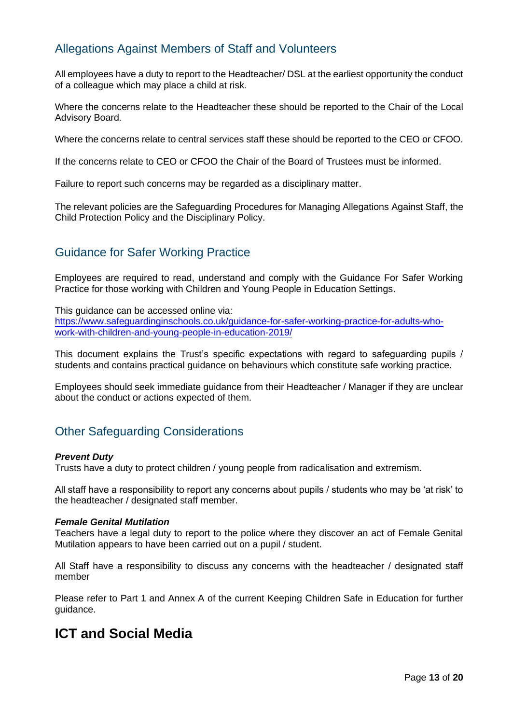# <span id="page-12-0"></span>Allegations Against Members of Staff and Volunteers

All employees have a duty to report to the Headteacher/ DSL at the earliest opportunity the conduct of a colleague which may place a child at risk.

Where the concerns relate to the Headteacher these should be reported to the Chair of the Local Advisory Board.

Where the concerns relate to central services staff these should be reported to the CEO or CFOO.

If the concerns relate to CEO or CFOO the Chair of the Board of Trustees must be informed.

Failure to report such concerns may be regarded as a disciplinary matter.

The relevant policies are the Safeguarding Procedures for Managing Allegations Against Staff, the Child Protection Policy and the Disciplinary Policy.

# <span id="page-12-1"></span>Guidance for Safer Working Practice

Employees are required to read, understand and comply with the Guidance For Safer Working Practice for those working with Children and Young People in Education Settings.

This guidance can be accessed online via:

[https://www.safeguardinginschools.co.uk/guidance-for-safer-working-practice-for-adults-who](https://www.safeguardinginschools.co.uk/guidance-for-safer-working-practice-for-adults-who-work-with-children-and-young-people-in-education-2019/)[work-with-children-and-young-people-in-education-2019/](https://www.safeguardinginschools.co.uk/guidance-for-safer-working-practice-for-adults-who-work-with-children-and-young-people-in-education-2019/)

This document explains the Trust's specific expectations with regard to safeguarding pupils / students and contains practical guidance on behaviours which constitute safe working practice.

Employees should seek immediate guidance from their Headteacher / Manager if they are unclear about the conduct or actions expected of them.

# <span id="page-12-2"></span>Other Safeguarding Considerations

#### *Prevent Duty*

Trusts have a duty to protect children / young people from radicalisation and extremism.

All staff have a responsibility to report any concerns about pupils / students who may be 'at risk' to the headteacher / designated staff member.

#### *Female Genital Mutilation*

Teachers have a legal duty to report to the police where they discover an act of Female Genital Mutilation appears to have been carried out on a pupil / student.

All Staff have a responsibility to discuss any concerns with the headteacher / designated staff member

Please refer to Part 1 and Annex A of the current Keeping Children Safe in Education for further guidance.

# **ICT and Social Media**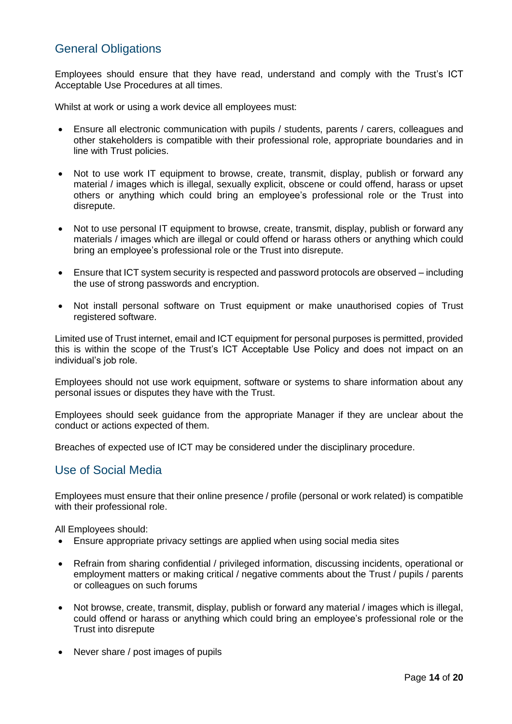# <span id="page-13-0"></span>General Obligations

Employees should ensure that they have read, understand and comply with the Trust's ICT Acceptable Use Procedures at all times.

Whilst at work or using a work device all employees must:

- Ensure all electronic communication with pupils / students, parents / carers, colleagues and other stakeholders is compatible with their professional role, appropriate boundaries and in line with Trust policies.
- Not to use work IT equipment to browse, create, transmit, display, publish or forward any material / images which is illegal, sexually explicit, obscene or could offend, harass or upset others or anything which could bring an employee's professional role or the Trust into disrepute.
- Not to use personal IT equipment to browse, create, transmit, display, publish or forward any materials / images which are illegal or could offend or harass others or anything which could bring an employee's professional role or the Trust into disrepute.
- Ensure that ICT system security is respected and password protocols are observed including the use of strong passwords and encryption.
- Not install personal software on Trust equipment or make unauthorised copies of Trust registered software.

Limited use of Trust internet, email and ICT equipment for personal purposes is permitted, provided this is within the scope of the Trust's ICT Acceptable Use Policy and does not impact on an individual's job role.

Employees should not use work equipment, software or systems to share information about any personal issues or disputes they have with the Trust.

Employees should seek guidance from the appropriate Manager if they are unclear about the conduct or actions expected of them.

<span id="page-13-1"></span>Breaches of expected use of ICT may be considered under the disciplinary procedure.

### Use of Social Media

Employees must ensure that their online presence / profile (personal or work related) is compatible with their professional role.

All Employees should:

- Ensure appropriate privacy settings are applied when using social media sites
- Refrain from sharing confidential / privileged information, discussing incidents, operational or employment matters or making critical / negative comments about the Trust / pupils / parents or colleagues on such forums
- Not browse, create, transmit, display, publish or forward any material / images which is illegal, could offend or harass or anything which could bring an employee's professional role or the Trust into disrepute
- Never share / post images of pupils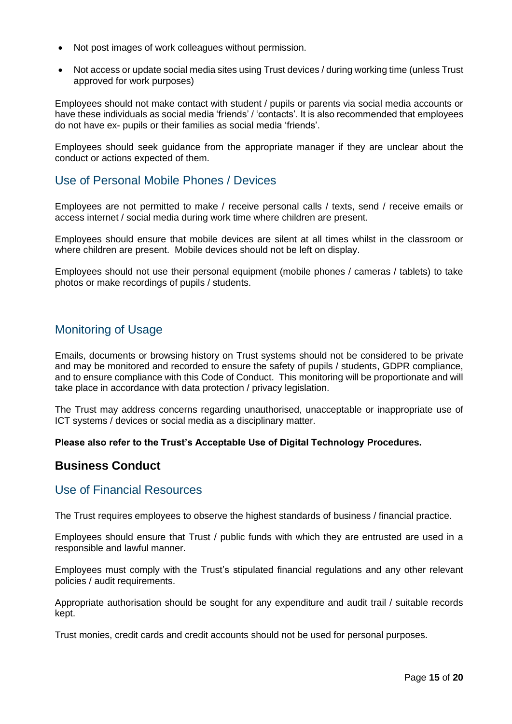- Not post images of work colleagues without permission.
- Not access or update social media sites using Trust devices / during working time (unless Trust approved for work purposes)

Employees should not make contact with student / pupils or parents via social media accounts or have these individuals as social media 'friends' / 'contacts'. It is also recommended that employees do not have ex- pupils or their families as social media 'friends'.

Employees should seek guidance from the appropriate manager if they are unclear about the conduct or actions expected of them.

# <span id="page-14-0"></span>Use of Personal Mobile Phones / Devices

Employees are not permitted to make / receive personal calls / texts, send / receive emails or access internet / social media during work time where children are present.

Employees should ensure that mobile devices are silent at all times whilst in the classroom or where children are present. Mobile devices should not be left on display.

<span id="page-14-1"></span>Employees should not use their personal equipment (mobile phones / cameras / tablets) to take photos or make recordings of pupils / students.

# Monitoring of Usage

Emails, documents or browsing history on Trust systems should not be considered to be private and may be monitored and recorded to ensure the safety of pupils / students, GDPR compliance, and to ensure compliance with this Code of Conduct.This monitoring will be proportionate and will take place in accordance with data protection / privacy legislation.

The Trust may address concerns regarding unauthorised, unacceptable or inappropriate use of ICT systems / devices or social media as a disciplinary matter.

#### **Please also refer to the Trust's Acceptable Use of Digital Technology Procedures.**

# **Business Conduct**

#### <span id="page-14-2"></span>Use of Financial Resources

The Trust requires employees to observe the highest standards of business / financial practice.

Employees should ensure that Trust / public funds with which they are entrusted are used in a responsible and lawful manner.

Employees must comply with the Trust's stipulated financial regulations and any other relevant policies / audit requirements.

Appropriate authorisation should be sought for any expenditure and audit trail / suitable records kept.

Trust monies, credit cards and credit accounts should not be used for personal purposes.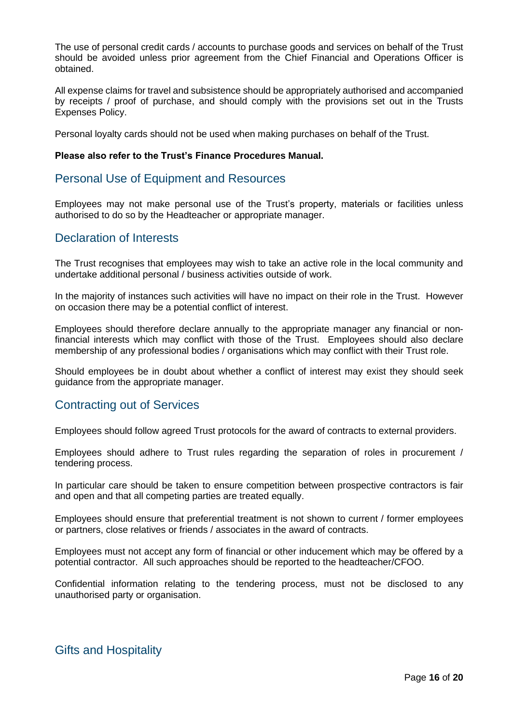The use of personal credit cards / accounts to purchase goods and services on behalf of the Trust should be avoided unless prior agreement from the Chief Financial and Operations Officer is obtained.

All expense claims for travel and subsistence should be appropriately authorised and accompanied by receipts / proof of purchase, and should comply with the provisions set out in the Trusts Expenses Policy.

Personal loyalty cards should not be used when making purchases on behalf of the Trust.

#### <span id="page-15-0"></span>**Please also refer to the Trust's Finance Procedures Manual.**

### Personal Use of Equipment and Resources

Employees may not make personal use of the Trust's property, materials or facilities unless authorised to do so by the Headteacher or appropriate manager.

# <span id="page-15-1"></span>Declaration of Interests

The Trust recognises that employees may wish to take an active role in the local community and undertake additional personal / business activities outside of work.

In the majority of instances such activities will have no impact on their role in the Trust. However on occasion there may be a potential conflict of interest.

Employees should therefore declare annually to the appropriate manager any financial or nonfinancial interests which may conflict with those of the Trust. Employees should also declare membership of any professional bodies / organisations which may conflict with their Trust role.

Should employees be in doubt about whether a conflict of interest may exist they should seek guidance from the appropriate manager.

# <span id="page-15-2"></span>Contracting out of Services

Employees should follow agreed Trust protocols for the award of contracts to external providers.

Employees should adhere to Trust rules regarding the separation of roles in procurement / tendering process.

In particular care should be taken to ensure competition between prospective contractors is fair and open and that all competing parties are treated equally.

Employees should ensure that preferential treatment is not shown to current / former employees or partners, close relatives or friends / associates in the award of contracts.

Employees must not accept any form of financial or other inducement which may be offered by a potential contractor. All such approaches should be reported to the headteacher/CFOO.

Confidential information relating to the tendering process, must not be disclosed to any unauthorised party or organisation.

# <span id="page-15-3"></span>Gifts and Hospitality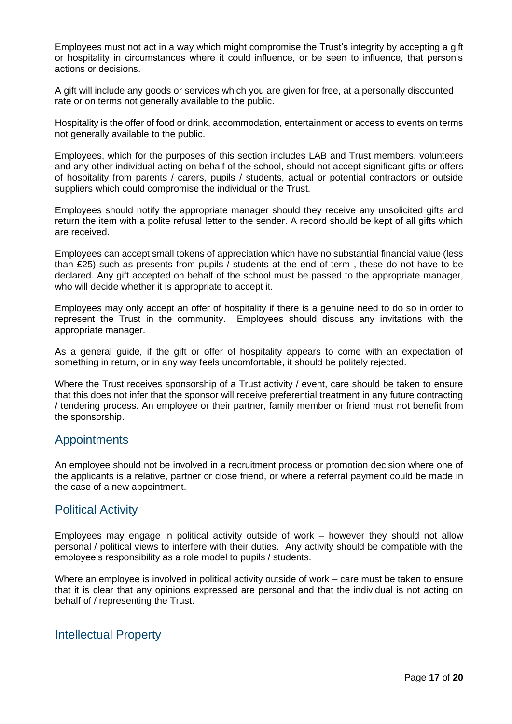Employees must not act in a way which might compromise the Trust's integrity by accepting a gift or hospitality in circumstances where it could influence, or be seen to influence, that person's actions or decisions.

A gift will include any goods or services which you are given for free, at a personally discounted rate or on terms not generally available to the public.

Hospitality is the offer of food or drink, accommodation, entertainment or access to events on terms not generally available to the public.

Employees, which for the purposes of this section includes LAB and Trust members, volunteers and any other individual acting on behalf of the school, should not accept significant gifts or offers of hospitality from parents / carers, pupils / students, actual or potential contractors or outside suppliers which could compromise the individual or the Trust.

Employees should notify the appropriate manager should they receive any unsolicited gifts and return the item with a polite refusal letter to the sender. A record should be kept of all gifts which are received.

Employees can accept small tokens of appreciation which have no substantial financial value (less than £25) such as presents from pupils / students at the end of term , these do not have to be declared. Any gift accepted on behalf of the school must be passed to the appropriate manager, who will decide whether it is appropriate to accept it.

Employees may only accept an offer of hospitality if there is a genuine need to do so in order to represent the Trust in the community. Employees should discuss any invitations with the appropriate manager.

As a general guide, if the gift or offer of hospitality appears to come with an expectation of something in return, or in any way feels uncomfortable, it should be politely rejected.

Where the Trust receives sponsorship of a Trust activity / event, care should be taken to ensure that this does not infer that the sponsor will receive preferential treatment in any future contracting / tendering process. An employee or their partner, family member or friend must not benefit from the sponsorship.

# <span id="page-16-0"></span>Appointments

An employee should not be involved in a recruitment process or promotion decision where one of the applicants is a relative, partner or close friend, or where a referral payment could be made in the case of a new appointment.

# <span id="page-16-1"></span>Political Activity

Employees may engage in political activity outside of work – however they should not allow personal / political views to interfere with their duties. Any activity should be compatible with the employee's responsibility as a role model to pupils / students.

Where an employee is involved in political activity outside of work – care must be taken to ensure that it is clear that any opinions expressed are personal and that the individual is not acting on behalf of / representing the Trust.

# <span id="page-16-2"></span>Intellectual Property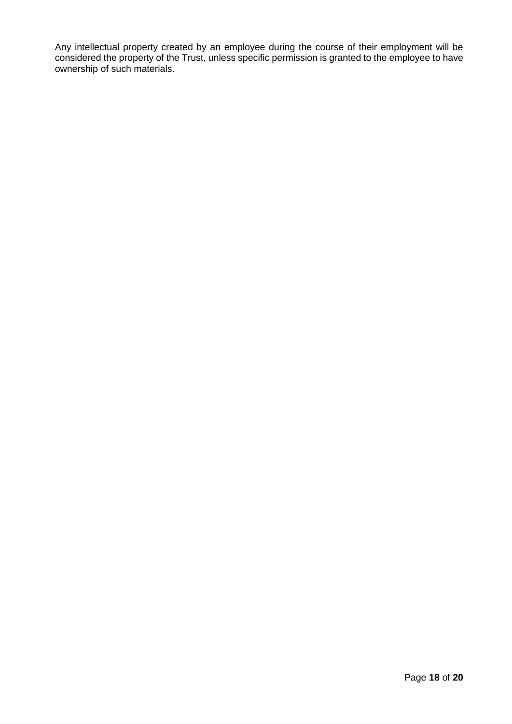Any intellectual property created by an employee during the course of their employment will be considered the property of the Trust, unless specific permission is granted to the employee to have ownership of such materials.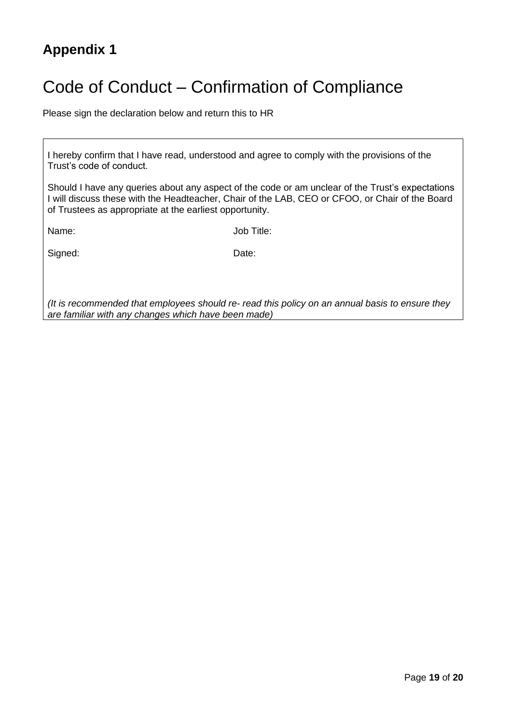# <span id="page-18-0"></span>**Appendix 1**

# <span id="page-18-1"></span>Code of Conduct – Confirmation of Compliance

Please sign the declaration below and return this to HR

I hereby confirm that I have read, understood and agree to comply with the provisions of the Trust's code of conduct.

Should I have any queries about any aspect of the code or am unclear of the Trust's expectations I will discuss these with the Headteacher, Chair of the LAB, CEO or CFOO, or Chair of the Board of Trustees as appropriate at the earliest opportunity.

Name: Job Title:

Signed: Date:

*(It is recommended that employees should re- read this policy on an annual basis to ensure they are familiar with any changes which have been made)*